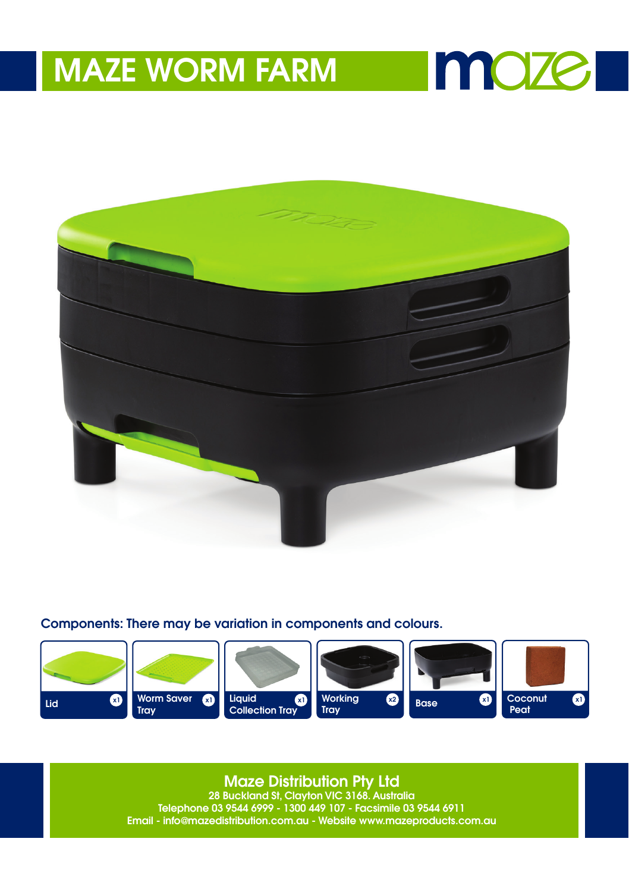

**Imaze** 

Components: There may be variation in components and colours.



**Maze Distribution Pty Ltd**<br>28 Buckland St, Clayton VIC 3168. Australia

Telephone 03 9544 6999 - 1300 449 107 - Facsimile 03 9544 6911 Email - info@mazedistribution.com.au - Website www.mazeproducts.com.au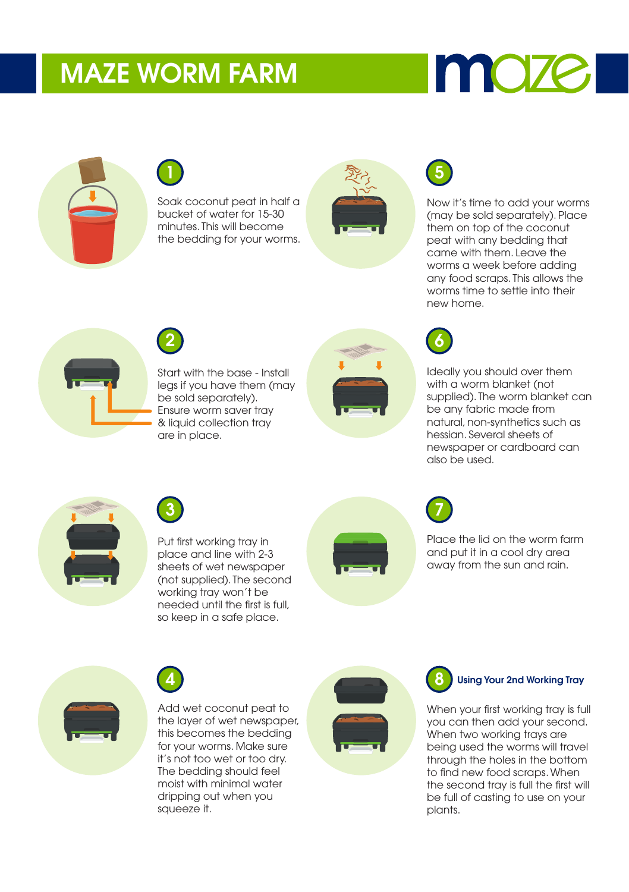# moze



## 1

Soak coconut peat in half a bucket of water for 15-30 minutes. This will become the bedding for your worms.





Now it's time to add your worms (may be sold separately). Place them on top of the coconut peat with any bedding that came with them. Leave the worms a week before adding any food scraps. This allows the worms time to settle into their new home.



2

Start with the base - Install legs if you have them (may be sold separately). Ensure worm saver tray & liquid collection tray are in place.





Ideally you should over them with a worm blanket (not supplied). The worm blanket can be any fabric made from natural, non-synthetics such as hessian. Several sheets of newspaper or cardboard can also be used.





Put first working tray in place and line with 2-3 sheets of wet newspaper (not supplied). The second working tray won't be needed until the first is full, so keep in a safe place.





Place the lid on the worm farm and put it in a cool dry area away from the sun and rain.



4

Add wet coconut peat to the layer of wet newspaper, this becomes the bedding for your worms. Make sure it's not too wet or too dry. The bedding should feel moist with minimal water dripping out when you squeeze it.



#### Using Your 2nd Working Tray

When your first working tray is full you can then add your second. When two working trays are being used the worms will travel through the holes in the bottom to find new food scraps. When the second tray is full the first will be full of casting to use on your plants.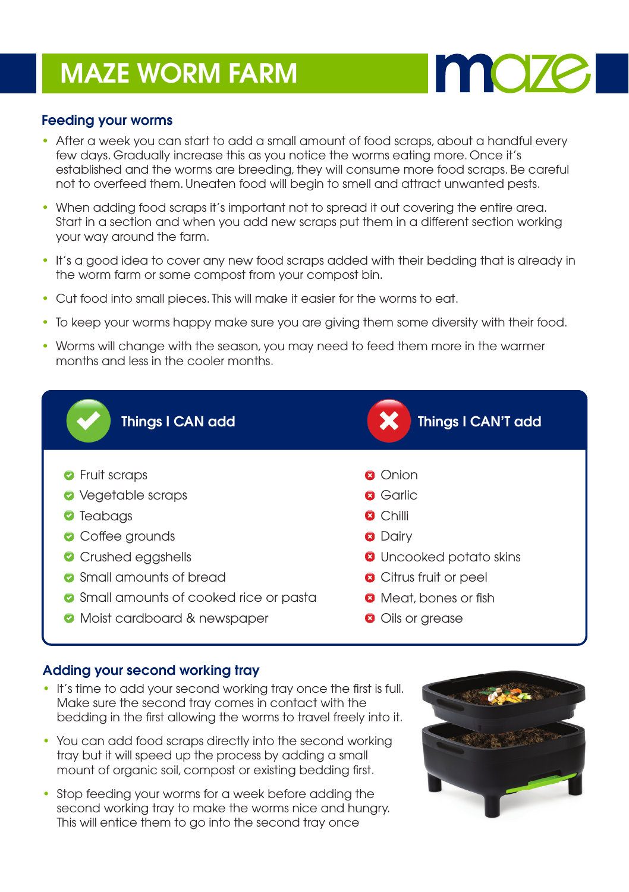

#### Feeding your worms

- After a week you can start to add a small amount of food scraps, about a handful every few days. Gradually increase this as you notice the worms eating more. Once it's established and the worms are breeding, they will consume more food scraps. Be careful not to overfeed them. Uneaten food will begin to smell and attract unwanted pests.
- When adding food scraps it's important not to spread it out covering the entire area. Start in a section and when you add new scraps put them in a different section working your way around the farm.
- It's a good idea to cover any new food scraps added with their bedding that is already in the worm farm or some compost from your compost bin.
- Cut food into small pieces. This will make it easier for the worms to eat.
- To keep your worms happy make sure you are giving them some diversity with their food.
- Worms will change with the season, you may need to feed them more in the warmer months and less in the cooler months.



#### Adding your second working tray

- It's time to add your second working tray once the first is full. Make sure the second tray comes in contact with the bedding in the first allowing the worms to travel freely into it.
- You can add food scraps directly into the second working tray but it will speed up the process by adding a small mount of organic soil, compost or existing bedding first.
- Stop feeding your worms for a week before adding the second working tray to make the worms nice and hungry. This will entice them to go into the second tray once